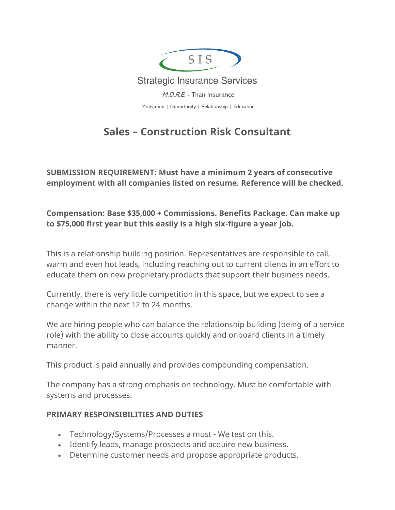

# **Sales – Construction Risk Consultant**

**SUBMISSION REQUIREMENT: Must have a minimum 2 years of consecutive employment with all companies listed on resume. Reference will be checked.**

**Compensation: Base \$35,000 + Commissions. Benefits Package. Can make up to \$75,000 first year but this easily is a high six-figure a year job.**

This is a relationship building position. Representatives are responsible to call, warm and even hot leads, including reaching out to current clients in an effort to educate them on new proprietary products that support their business needs.

Currently, there is very little competition in this space, but we expect to see a change within the next 12 to 24 months.

We are hiring people who can balance the relationship building (being of a service role) with the ability to close accounts quickly and onboard clients in a timely manner.

This product is paid annually and provides compounding compensation.

The company has a strong emphasis on technology. Must be comfortable with systems and processes.

### **PRIMARY RESPONSIBILITIES AND DUTIES**

- Technology/Systems/Processes a must We test on this.
- Identify leads, manage prospects and acquire new business.
- Determine customer needs and propose appropriate products.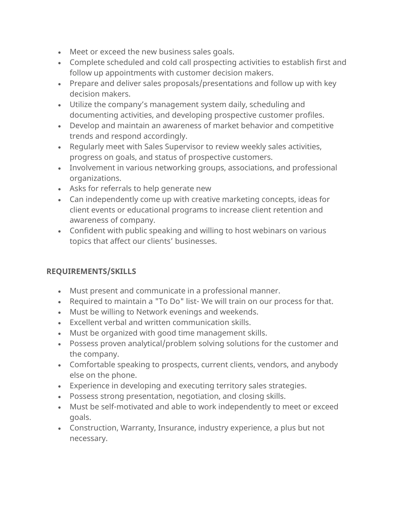- Meet or exceed the new business sales goals.
- Complete scheduled and cold call prospecting activities to establish first and follow up appointments with customer decision makers.
- Prepare and deliver sales proposals/presentations and follow up with key decision makers.
- Utilize the company's management system daily, scheduling and documenting activities, and developing prospective customer profiles.
- Develop and maintain an awareness of market behavior and competitive trends and respond accordingly.
- Regularly meet with Sales Supervisor to review weekly sales activities, progress on goals, and status of prospective customers.
- Involvement in various networking groups, associations, and professional organizations.
- Asks for referrals to help generate new
- Can independently come up with creative marketing concepts, ideas for client events or educational programs to increase client retention and awareness of company.
- Confident with public speaking and willing to host webinars on various topics that affect our clients' businesses.

## **REQUIREMENTS/SKILLS**

- Must present and communicate in a professional manner.
- Required to maintain a "To Do" list- We will train on our process for that.
- Must be willing to Network evenings and weekends.
- Excellent verbal and written communication skills.
- Must be organized with good time management skills.
- Possess proven analytical/problem solving solutions for the customer and the company.
- Comfortable speaking to prospects, current clients, vendors, and anybody else on the phone.
- Experience in developing and executing territory sales strategies.
- Possess strong presentation, negotiation, and closing skills.
- Must be self-motivated and able to work independently to meet or exceed goals.
- Construction, Warranty, Insurance, industry experience, a plus but not necessary.